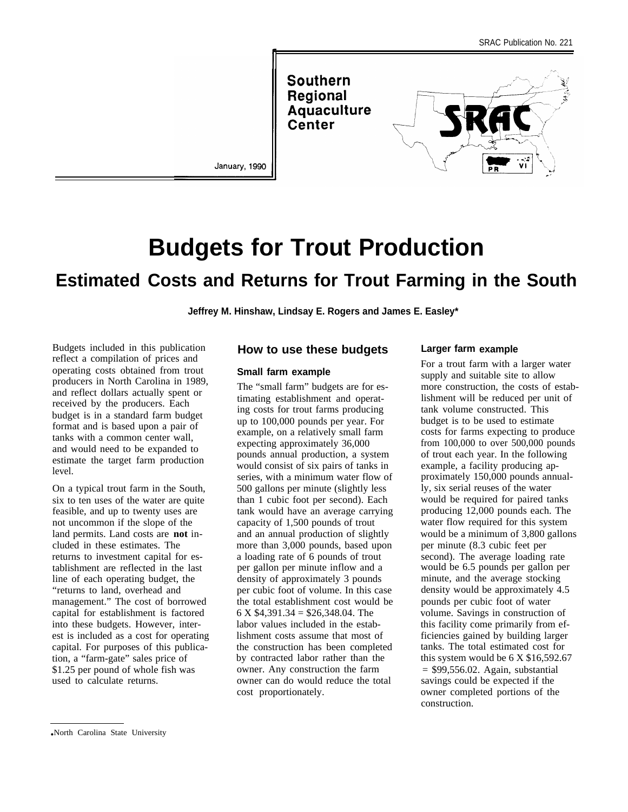**Southern** Regional **Aquaculture** Center



January, 1990

I

# **Budgets for Trout Production**

# **Estimated Costs and Returns for Trout Farming in the South**

**Jeffrey M. Hinshaw, Lindsay E. Rogers and James E. Easley\***

Budgets included in this publication reflect a compilation of prices and operating costs obtained from trout producers in North Carolina in 1989, and reflect dollars actually spent or received by the producers. Each budget is in a standard farm budget format and is based upon a pair of tanks with a common center wall, and would need to be expanded to estimate the target farm production level.

On a typical trout farm in the South, six to ten uses of the water are quite feasible, and up to twenty uses are not uncommon if the slope of the land permits. Land costs are **not** included in these estimates. The returns to investment capital for establishment are reflected in the last line of each operating budget, the "returns to land, overhead and management." The cost of borrowed capital for establishment is factored into these budgets. However, interest is included as a cost for operating capital. For purposes of this publication, a "farm-gate" sales price of \$1.25 per pound of whole fish was used to calculate returns.

### **How to use these budgets**

#### **Small farm example**

The "small farm" budgets are for estimating establishment and operating costs for trout farms producing up to 100,000 pounds per year. For example, on a relatively small farm expecting approximately 36,000 pounds annual production, a system would consist of six pairs of tanks in series, with a minimum water flow of 500 gallons per minute (slightly less than 1 cubic foot per second). Each tank would have an average carrying capacity of 1,500 pounds of trout and an annual production of slightly more than 3,000 pounds, based upon a loading rate of 6 pounds of trout per gallon per minute inflow and a density of approximately 3 pounds per cubic foot of volume. In this case the total establishment cost would be  $6 \text{ X } $4,391.34 = $26,348.04$  The labor values included in the establishment costs assume that most of the construction has been completed by contracted labor rather than the owner. Any construction the farm owner can do would reduce the total cost proportionately.

#### **Larger farm example**

For a trout farm with a larger water supply and suitable site to allow more construction, the costs of establishment will be reduced per unit of tank volume constructed. This budget is to be used to estimate costs for farms expecting to produce from 100,000 to over 500,000 pounds of trout each year. In the following example, a facility producing approximately 150,000 pounds annually, six serial reuses of the water would be required for paired tanks producing 12,000 pounds each. The water flow required for this system would be a minimum of 3,800 gallons per minute (8.3 cubic feet per second). The average loading rate would be 6.5 pounds per gallon per minute, and the average stocking density would be approximately 4.5 pounds per cubic foot of water volume. Savings in construction of this facility come primarily from efficiencies gained by building larger tanks. The total estimated cost for this system would be  $6 \times $16,592.67$  $=$  \$99,556.02. Again, substantial savings could be expected if the owner completed portions of the construction.

<sup>●</sup> North Carolina State University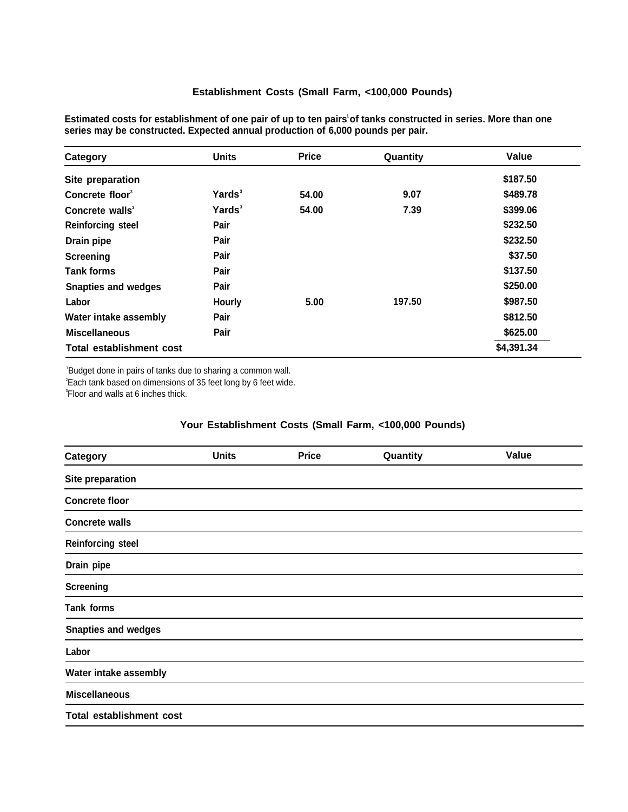## **Establishment Costs (Small Farm, <100,000 Pounds)**

| Category                    | <b>Units</b>       | <b>Price</b> | Quantity | Value      |
|-----------------------------|--------------------|--------------|----------|------------|
| Site preparation            |                    |              |          | \$187.50   |
| Concrete floor <sup>3</sup> | Yards <sup>3</sup> | 54.00        | 9.07     | \$489.78   |
| Concrete walls <sup>3</sup> | Yards <sup>3</sup> | 54.00        | 7.39     | \$399.06   |
| <b>Reinforcing steel</b>    | Pair               |              |          | \$232.50   |
| Drain pipe                  | Pair               |              |          | \$232.50   |
| Screening                   | Pair               |              |          | \$37.50    |
| <b>Tank forms</b>           | Pair               |              |          | \$137.50   |
| <b>Snapties and wedges</b>  | Pair               |              |          | \$250.00   |
| Labor                       | Hourly             | 5.00         | 197.50   | \$987.50   |
| Water intake assembly       | Pair               |              |          | \$812.50   |
| <b>Miscellaneous</b>        | Pair               |              |          | \$625.00   |
| Total establishment cost    |                    |              |          | \$4,391.34 |

**Estimated costs for establishment of one pair of up to ten pairs<sup>1</sup>of tanks constructed in series. More than one series may be constructed. Expected annual production of 6,000 pounds per pair.**

<sup>1</sup>Budget done in pairs of tanks due to sharing a common wall. <sup>2</sup>Each tank based on dimensions of 35 feet long by 6 feet wide. 3 Floor and walls at 6 inches thick.

# **Your Establishment Costs (Small Farm, <100,000 Pounds)**

| Category                        | <b>Units</b> | <b>Price</b> | Quantity | Value |
|---------------------------------|--------------|--------------|----------|-------|
| Site preparation                |              |              |          |       |
| <b>Concrete floor</b>           |              |              |          |       |
| <b>Concrete walls</b>           |              |              |          |       |
| <b>Reinforcing steel</b>        |              |              |          |       |
| Drain pipe                      |              |              |          |       |
| <b>Screening</b>                |              |              |          |       |
| Tank forms                      |              |              |          |       |
| <b>Snapties and wedges</b>      |              |              |          |       |
| Labor                           |              |              |          |       |
| Water intake assembly           |              |              |          |       |
| <b>Miscellaneous</b>            |              |              |          |       |
| <b>Total establishment cost</b> |              |              |          |       |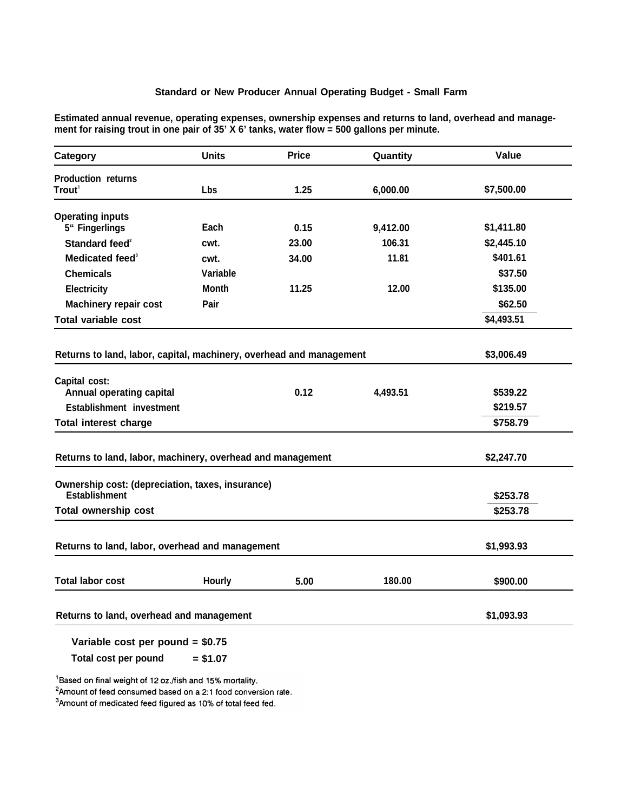# **Standard or New Producer Annual Operating Budget - Small Farm**

**Estimated annual revenue, operating expenses, ownership expenses and returns to land, overhead and management for raising trout in one pair of 35' X 6' tanks, water flow = 500 gallons per minute.**

| Category                                                                 | <b>Units</b> | <b>Price</b> | Quantity | Value      |
|--------------------------------------------------------------------------|--------------|--------------|----------|------------|
| <b>Production returns</b>                                                |              |              |          |            |
| Trout $^{\scriptscriptstyle\mathsf{1}}$                                  | <b>Lbs</b>   | 1.25         | 6,000.00 | \$7,500.00 |
| <b>Operating inputs</b>                                                  |              |              |          |            |
| 5" Fingerlings                                                           | Each         | 0.15         | 9,412.00 | \$1,411.80 |
| Standard feed <sup>2</sup>                                               | cwt.         | 23.00        | 106.31   | \$2,445.10 |
| Medicated feed <sup>3</sup>                                              | cwt.         | 34.00        | 11.81    | \$401.61   |
| <b>Chemicals</b>                                                         | Variable     |              |          | \$37.50    |
| Electricity                                                              | <b>Month</b> | 11.25        | 12.00    | \$135.00   |
| <b>Machinery repair cost</b>                                             | Pair         |              |          | \$62.50    |
| <b>Total variable cost</b>                                               |              |              |          | \$4,493.51 |
|                                                                          |              |              |          |            |
| Returns to land, labor, capital, machinery, overhead and management      |              |              |          | \$3,006.49 |
| Capital cost:                                                            |              |              |          |            |
| <b>Annual operating capital</b>                                          |              | 0.12         | 4,493.51 | \$539.22   |
| Establishment investment                                                 |              |              |          | \$219.57   |
| <b>Total interest charge</b>                                             |              |              |          | \$758.79   |
| Returns to land, labor, machinery, overhead and management               | \$2,247.70   |              |          |            |
| Ownership cost: (depreciation, taxes, insurance)<br><b>Establishment</b> |              |              |          | \$253.78   |
| <b>Total ownership cost</b>                                              |              |              |          | \$253.78   |
|                                                                          |              |              |          |            |
| Returns to land, labor, overhead and management                          | \$1,993.93   |              |          |            |
| <b>Total labor cost</b>                                                  | Hourly       | 5.00         | 180.00   | \$900.00   |
|                                                                          |              |              |          |            |
| Returns to land, overhead and management                                 | \$1,093.93   |              |          |            |
| Variable cost per pound = \$0.75                                         |              |              |          |            |

**Total cost per pound = \$1.07**

<sup>1</sup>Based on final weight of 12 oz./fish and 15% mortality.

2Amount of feed consumed based on a 2:1 food conversion rate.

<sup>3</sup>Amount of medicated feed figured as 10% of total feed fed.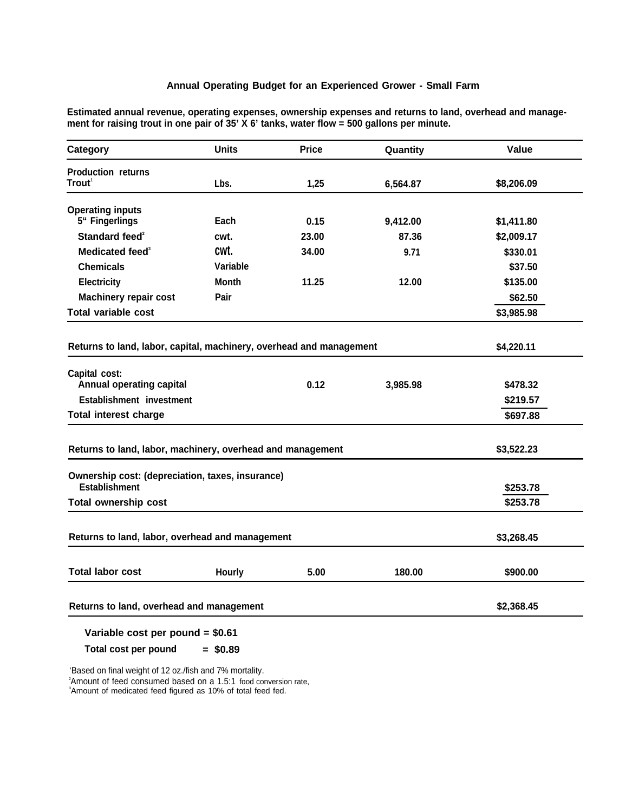# **Annual Operating Budget for an Experienced Grower - Small Farm**

**Estimated annual revenue, operating expenses, ownership expenses and returns to land, overhead and management for raising trout in one pair of 35' X 6' tanks, water flow = 500 gallons per minute.**

| Category                                                            | <b>Units</b>  | <b>Price</b> | Quantity | Value      |
|---------------------------------------------------------------------|---------------|--------------|----------|------------|
| <b>Production returns</b>                                           |               |              |          |            |
| Trout <sup>1</sup>                                                  | Lbs.          | 1,25         | 6,564.87 | \$8,206.09 |
| <b>Operating inputs</b>                                             |               |              |          |            |
| 5" Fingerlings                                                      | Each          | 0.15         | 9,412.00 | \$1,411.80 |
| Standard feed <sup>2</sup>                                          | cwt.          | 23.00        | 87.36    | \$2,009.17 |
| Medicated feed <sup>3</sup>                                         | cwt.          | 34.00        | 9.71     | \$330.01   |
| <b>Chemicals</b>                                                    | Variable      |              |          | \$37.50    |
| <b>Electricity</b>                                                  | <b>Month</b>  | 11.25        | 12.00    | \$135.00   |
| <b>Machinery repair cost</b>                                        | Pair          |              |          | \$62.50    |
| <b>Total variable cost</b>                                          |               |              |          | \$3,985.98 |
|                                                                     |               |              |          |            |
| Returns to land, labor, capital, machinery, overhead and management |               |              |          | \$4,220.11 |
| Capital cost:                                                       |               |              |          |            |
| Annual operating capital                                            |               | 0.12         | 3,985.98 | \$478.32   |
| Establishment investment                                            |               |              |          | \$219.57   |
| <b>Total interest charge</b>                                        |               |              |          | \$697.88   |
| Returns to land, labor, machinery, overhead and management          |               |              |          | \$3,522.23 |
|                                                                     |               |              |          |            |
| Ownership cost: (depreciation, taxes, insurance)                    |               |              |          |            |
| <b>Establishment</b>                                                |               | \$253.78     |          |            |
| <b>Total ownership cost</b>                                         |               |              |          | \$253.78   |
| Returns to land, labor, overhead and management                     | \$3,268.45    |              |          |            |
|                                                                     |               |              |          |            |
| <b>Total labor cost</b>                                             | <b>Hourly</b> | 5.00         | 180.00   | \$900.00   |
| Returns to land, overhead and management                            | \$2,368.45    |              |          |            |

## **Variable cost per pound = \$0.61**

**Total cost per pound = \$0.89**

'Based on final weight of 12 oz./fish and 7% mortality. <sup>2</sup>Amount of feed consumed based on a 1.5:1 food conversion rate, 3Amount of medicated feed figured as 10% of total feed fed.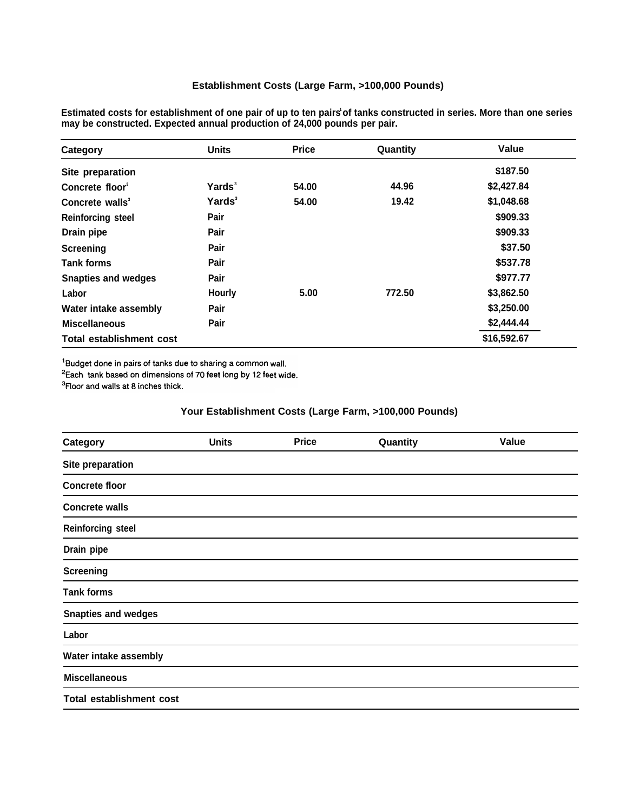| Estimated costs for establishment of one pair of up to ten pairs of tanks constructed in series. More than one series |
|-----------------------------------------------------------------------------------------------------------------------|
| may be constructed. Expected annual production of 24,000 pounds per pair.                                             |
|                                                                                                                       |

| Category                        | <b>Units</b>       | <b>Price</b> | Quantity | Value       |
|---------------------------------|--------------------|--------------|----------|-------------|
| Site preparation                |                    |              |          | \$187.50    |
| Concrete floor <sup>3</sup>     | Yards <sup>3</sup> | 54.00        | 44.96    | \$2,427.84  |
| Concrete walls <sup>3</sup>     | Yards <sup>3</sup> | 54.00        | 19.42    | \$1,048.68  |
| <b>Reinforcing steel</b>        | Pair               |              |          | \$909.33    |
| Drain pipe                      | Pair               |              |          | \$909.33    |
| Screening                       | Pair               |              |          | \$37.50     |
| <b>Tank forms</b>               | Pair               |              |          | \$537.78    |
| <b>Snapties and wedges</b>      | Pair               |              |          | \$977.77    |
| Labor                           | <b>Hourly</b>      | 5.00         | 772.50   | \$3,862.50  |
| Water intake assembly           | Pair               |              |          | \$3,250.00  |
| <b>Miscellaneous</b>            | Pair               |              |          | \$2,444.44  |
| <b>Total establishment cost</b> |                    |              |          | \$16,592.67 |

<sup>1</sup>Budget done in pairs of tanks due to sharing a common wall.

<sup>2</sup>Each tank based on dimensions of 70 feet long by 12 feet wide.

<sup>3</sup>Floor and walls at 8 inches thick.

# **Your Establishment Costs (Large Farm, >100,000 Pounds)**

| Category                        | <b>Units</b> | <b>Price</b> | Quantity | Value |
|---------------------------------|--------------|--------------|----------|-------|
| Site preparation                |              |              |          |       |
| <b>Concrete floor</b>           |              |              |          |       |
| <b>Concrete walls</b>           |              |              |          |       |
| <b>Reinforcing steel</b>        |              |              |          |       |
| Drain pipe                      |              |              |          |       |
| <b>Screening</b>                |              |              |          |       |
| <b>Tank forms</b>               |              |              |          |       |
| <b>Snapties and wedges</b>      |              |              |          |       |
| Labor                           |              |              |          |       |
| Water intake assembly           |              |              |          |       |
| <b>Miscellaneous</b>            |              |              |          |       |
| <b>Total establishment cost</b> |              |              |          |       |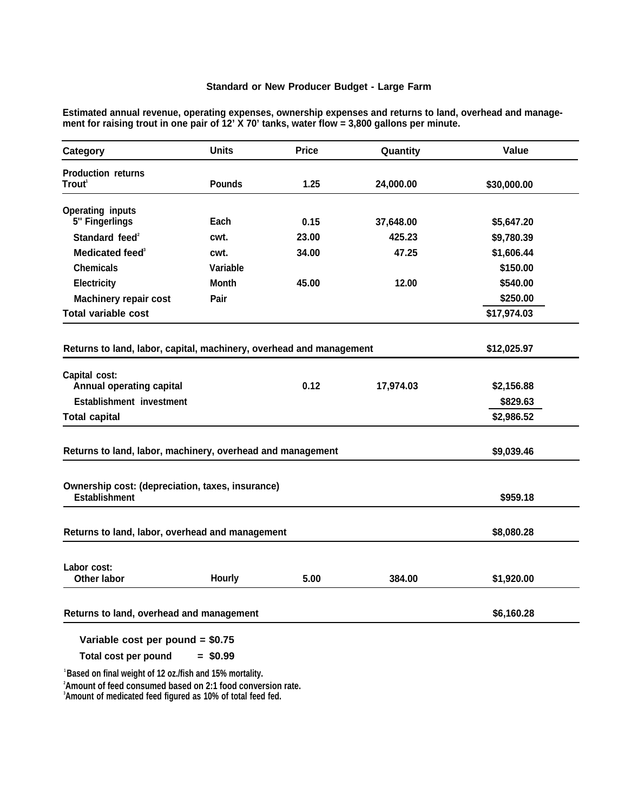# **Standard or New Producer Budget - Large Farm**

**Estimated annual revenue, operating expenses, ownership expenses and returns to land, overhead and management for raising trout in one pair of 12' X 70' tanks, water flow = 3,800 gallons per minute.**

| Category                                                                 | <b>Units</b>  | <b>Price</b> | Quantity  | Value       |
|--------------------------------------------------------------------------|---------------|--------------|-----------|-------------|
| <b>Production returns</b><br>Trout <sup>1</sup>                          | <b>Pounds</b> | 1.25         | 24,000.00 | \$30,000.00 |
| <b>Operating inputs</b>                                                  |               |              |           |             |
| 5" Fingerlings                                                           | Each          | 0.15         | 37,648.00 | \$5,647.20  |
| Standard feed <sup>2</sup>                                               | cwt.          | 23.00        | 425.23    | \$9,780.39  |
| Medicated feed <sup>3</sup>                                              | cwt.          | 34.00        | 47.25     | \$1,606.44  |
| <b>Chemicals</b>                                                         | Variable      |              |           | \$150.00    |
| Electricity                                                              | <b>Month</b>  | 45.00        | 12.00     | \$540.00    |
| <b>Machinery repair cost</b>                                             | Pair          |              |           | \$250.00    |
| <b>Total variable cost</b>                                               |               |              |           | \$17,974.03 |
| Returns to land, labor, capital, machinery, overhead and management      |               |              |           | \$12,025.97 |
| Capital cost:                                                            |               |              |           |             |
| Annual operating capital                                                 |               | 0.12         | 17,974.03 | \$2,156.88  |
| Establishment investment                                                 |               |              |           | \$829.63    |
| <b>Total capital</b>                                                     |               |              |           | \$2,986.52  |
| Returns to land, labor, machinery, overhead and management               |               |              |           | \$9,039.46  |
| Ownership cost: (depreciation, taxes, insurance)<br><b>Establishment</b> |               |              |           | \$959.18    |
|                                                                          |               |              |           |             |
| Returns to land, labor, overhead and management                          | \$8,080.28    |              |           |             |
| Labor cost:<br><b>Other labor</b>                                        | Hourly        | 5.00         | 384.00    | \$1,920.00  |
| Returns to land, overhead and management                                 | \$6,160.28    |              |           |             |
| Variable cost per pound = $$0.75$                                        |               |              |           |             |

**Total cost per pound = \$0.99**

**<sup>1</sup>Based on final weight of 12 oz./fish and 15% mortality.**

**<sup>2</sup>Amount of feed consumed based on 2:1 food conversion rate.**

**<sup>3</sup>Amount of medicated feed figured as 10% of total feed fed.**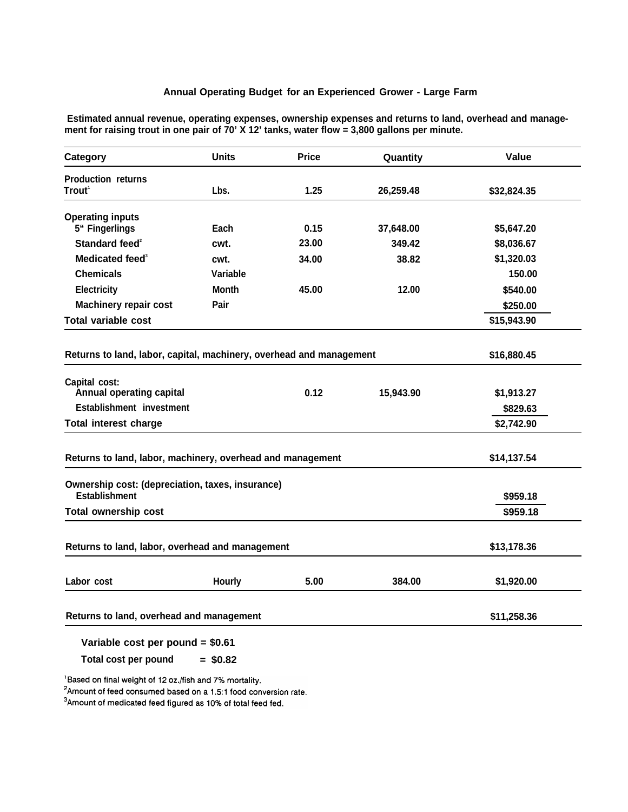#### **Annual Operating Budget for an Experienced Grower - Large Farm**

**Category Units Price Quantity Value Production returns Trout<sup>1</sup> Lbs. 1.25 26,259.48 \$32,824.35 Operating inputs 5" Fingerlings Standard feed<sup>2</sup> Medicated feed<sup>3</sup> Chemicals Electricity Machinery repair cost Total variable cost Each 0.15 37,648.00 \$5,647.20 cwt. 23.00 349.42 \$8,036.67 cwt. 34.00 38.82 \$1,320.03 Variable 150.00 Month 45.00 12.00 \$540.00 Pair \$250.00 \$15,943.90 Returns to land, labor, capital, machinery, overhead and management \$16,880.45 Capital cost: Annual operating capital 0.12 15,943.90 \$1,913.27 Establishment investment \$829.63 Total interest charge \$2,742.90 Returns to land, labor, machinery, overhead and management \$14,137.54 Ownership cost: (depreciation, taxes, insurance) Establishment \$959.18 Total ownership cost \$959.18 Returns to land, labor, overhead and management \$13,178.36 Labor cost Hourly 5.00 384.00 \$1,920.00 Returns to land, overhead and management \$11,258.36 Variable cost per pound = \$0.61**

**Estimated annual revenue, operating expenses, ownership expenses and returns to land, overhead and management for raising trout in one pair of 70' X 12' tanks, water flow = 3,800 gallons per minute.**

**Total cost per pound = \$0.82**

Based on final weight of 12 oz./fish and 7% mortality.

<sup>2</sup>Amount of feed consumed based on a 1.5:1 food conversion rate.

<sup>3</sup>Amount of medicated feed figured as 10% of total feed fed.